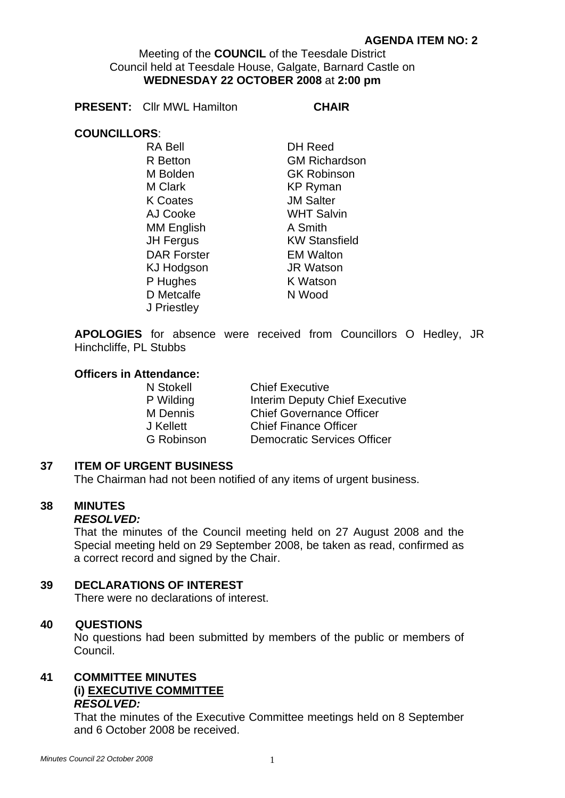Meeting of the **COUNCIL** of the Teesdale District Council held at Teesdale House, Galgate, Barnard Castle on **WEDNESDAY 22 OCTOBER 2008** at **2:00 pm** 

**PRESENT:** Cllr MWL Hamilton **CHAIR** 

# **COUNCILLORS**:

RA Bell DH Reed M Bolden GK Robinson M Clark **KP Ryman** K Coates **JM Salter** AJ Cooke WHT Salvin MM English A Smith DAR Forster **EM Walton** KJ Hodgson JR Watson P Hughes K Watson D Metcalfe N Wood J Priestley

R Betton **GM Richardson** JH Fergus KW Stansfield

**APOLOGIES** for absence were received from Councillors O Hedley, JR Hinchcliffe, PL Stubbs

### **Officers in Attendance:**

| <b>Chief Executive</b>             |
|------------------------------------|
| Interim Deputy Chief Executive     |
| <b>Chief Governance Officer</b>    |
| <b>Chief Finance Officer</b>       |
| <b>Democratic Services Officer</b> |
|                                    |

# **37 ITEM OF URGENT BUSINESS**

The Chairman had not been notified of any items of urgent business.

# **38 MINUTES**

#### *RESOLVED:*

That the minutes of the Council meeting held on 27 August 2008 and the Special meeting held on 29 September 2008, be taken as read, confirmed as a correct record and signed by the Chair.

# **39 DECLARATIONS OF INTEREST**

There were no declarations of interest.

# **40 QUESTIONS**

No questions had been submitted by members of the public or members of Council.

#### **41 COMMITTEE MINUTES (i) EXECUTIVE COMMITTEE** *RESOLVED:*

That the minutes of the Executive Committee meetings held on 8 September and 6 October 2008 be received.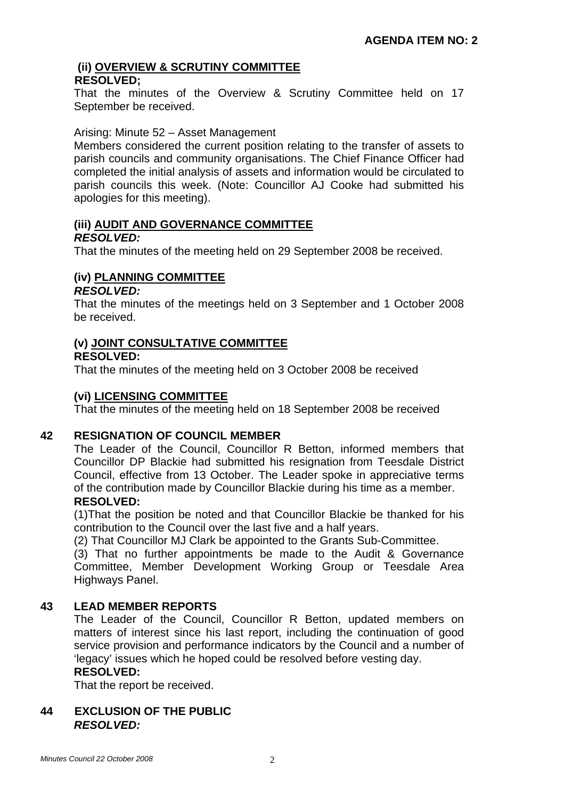#### **(ii) OVERVIEW & SCRUTINY COMMITTEE RESOLVED;**

That the minutes of the Overview & Scrutiny Committee held on 17 September be received.

### Arising: Minute 52 – Asset Management

Members considered the current position relating to the transfer of assets to parish councils and community organisations. The Chief Finance Officer had completed the initial analysis of assets and information would be circulated to parish councils this week. (Note: Councillor AJ Cooke had submitted his apologies for this meeting).

# **(iii) AUDIT AND GOVERNANCE COMMITTEE** *RESOLVED:*

That the minutes of the meeting held on 29 September 2008 be received.

# **(iv) PLANNING COMMITTEE**

### *RESOLVED:*

That the minutes of the meetings held on 3 September and 1 October 2008 be received.

# **(v) JOINT CONSULTATIVE COMMITTEE**

#### **RESOLVED:**

That the minutes of the meeting held on 3 October 2008 be received

# **(vi) LICENSING COMMITTEE**

That the minutes of the meeting held on 18 September 2008 be received

# **42 RESIGNATION OF COUNCIL MEMBER**

The Leader of the Council, Councillor R Betton, informed members that Councillor DP Blackie had submitted his resignation from Teesdale District Council, effective from 13 October. The Leader spoke in appreciative terms of the contribution made by Councillor Blackie during his time as a member. **RESOLVED:** 

# (1)That the position be noted and that Councillor Blackie be thanked for his contribution to the Council over the last five and a half years.

(2) That Councillor MJ Clark be appointed to the Grants Sub-Committee.

 (3) That no further appointments be made to the Audit & Governance Committee, Member Development Working Group or Teesdale Area Highways Panel.

# **43 LEAD MEMBER REPORTS**

The Leader of the Council, Councillor R Betton, updated members on matters of interest since his last report, including the continuation of good service provision and performance indicators by the Council and a number of 'legacy' issues which he hoped could be resolved before vesting day.

#### **RESOLVED:**

That the report be received.

# **44 EXCLUSION OF THE PUBLIC**  *RESOLVED:*